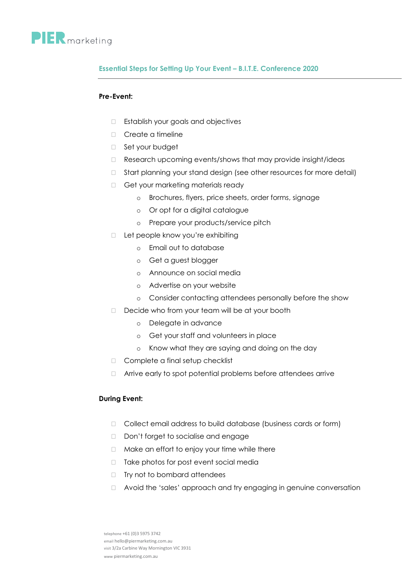

## **Essential Steps for Setting Up Your Event – B.I.T.E. Conference 2020**

## **Pre-Event:**

- Establish your goals and objectives
- D Create a timeline
- □ Set your budget
- Research upcoming events/shows that may provide insight/ideas
- □ Start planning your stand design (see other resources for more detail)
- Get your marketing materials ready
	- o Brochures, flyers, price sheets, order forms, signage
	- o Or opt for a digital catalogue
	- o Prepare your products/service pitch
- □ Let people know you're exhibiting
	- o Email out to database
	- o Get a guest blogger
	- o Announce on social media
	- o Advertise on your website
	- o Consider contacting attendees personally before the show
- Decide who from your team will be at your booth
	- o Delegate in advance
	- o Get your staff and volunteers in place
	- o Know what they are saying and doing on the day
- Complete a final setup checklist
- □ Arrive early to spot potential problems before attendees arrive

## **During Event:**

- $\Box$  Collect email address to build database (business cards or form)
- Don't forget to socialise and engage
- □ Make an effort to enjoy your time while there
- □ Take photos for post event social media
- $\Box$  Try not to bombard attendees
- □ Avoid the 'sales' approach and try engaging in genuine conversation

telephone +61 (0)3 5975 3742 email hello@piermarketing.com.au visit 3/2a Carbine Way Mornington VIC 3931 www piermarketing.com.au